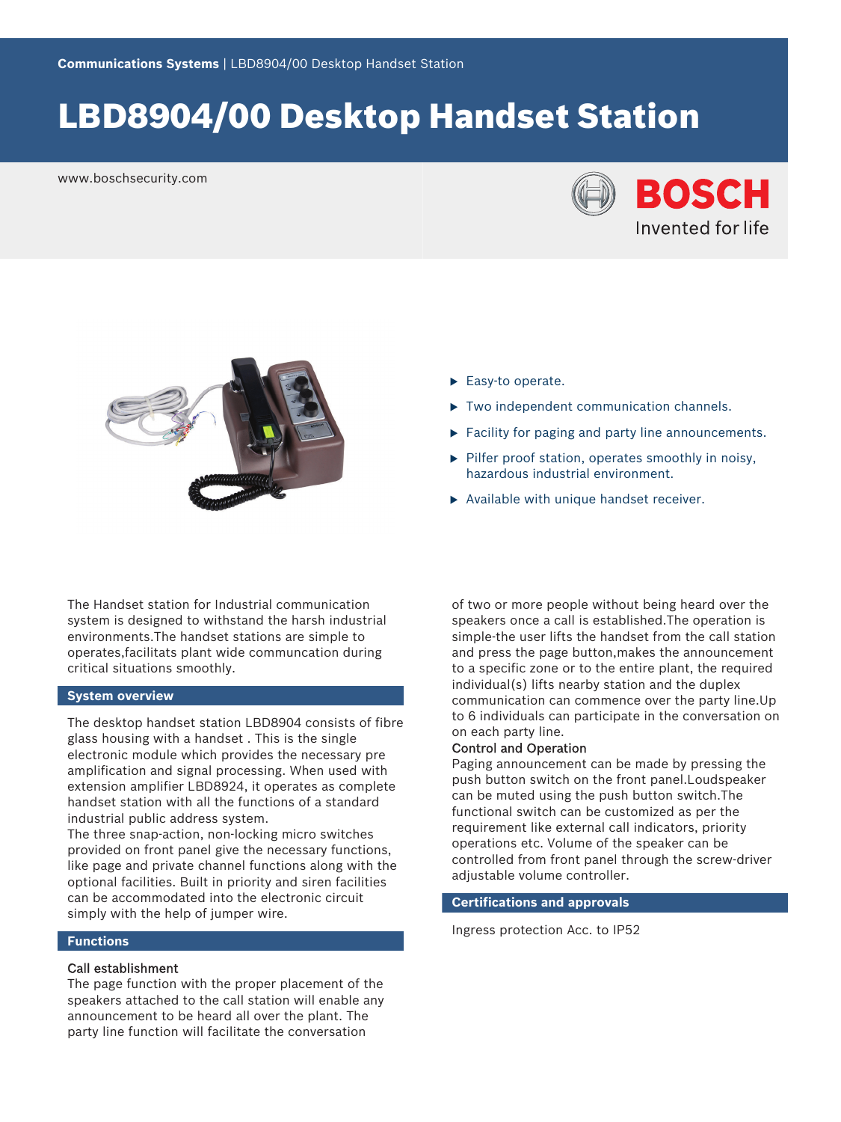# LBD8904/00 Desktop Handset Station

www.boschsecurity.com





The Handset station for Industrial communication system is designed to withstand the harsh industrial environments.The handset stations are simple to operates,facilitats plant wide communcation during critical situations smoothly.

### **System overview**

The desktop handset station LBD8904 consists of fibre glass housing with a handset . This is the single electronic module which provides the necessary pre amplification and signal processing. When used with extension amplifier LBD8924, it operates as complete handset station with all the functions of a standard industrial public address system.

The three snap-action, non-locking micro switches provided on front panel give the necessary functions, like page and private channel functions along with the optional facilities. Built in priority and siren facilities can be accommodated into the electronic circuit simply with the help of jumper wire.

## **Functions**

# Call establishment

The page function with the proper placement of the speakers attached to the call station will enable any announcement to be heard all over the plant. The party line function will facilitate the conversation

- $\blacktriangleright$  Easy-to operate.
- $\triangleright$  Two independent communication channels.
- $\blacktriangleright$  Facility for paging and party line announcements.
- $\blacktriangleright$  Pilfer proof station, operates smoothly in noisy, hazardous industrial environment.
- $\triangleright$  Available with unique handset receiver.

of two or more people without being heard over the speakers once a call is established.The operation is simple-the user lifts the handset from the call station and press the page button,makes the announcement to a specific zone or to the entire plant, the required individual(s) lifts nearby station and the duplex communication can commence over the party line.Up to 6 individuals can participate in the conversation on on each party line.

#### Control and Operation

Paging announcement can be made by pressing the push button switch on the front panel.Loudspeaker can be muted using the push button switch.The functional switch can be customized as per the requirement like external call indicators, priority operations etc. Volume of the speaker can be controlled from front panel through the screw-driver adjustable volume controller.

### **Certifications and approvals**

Ingress protection Acc. to IP52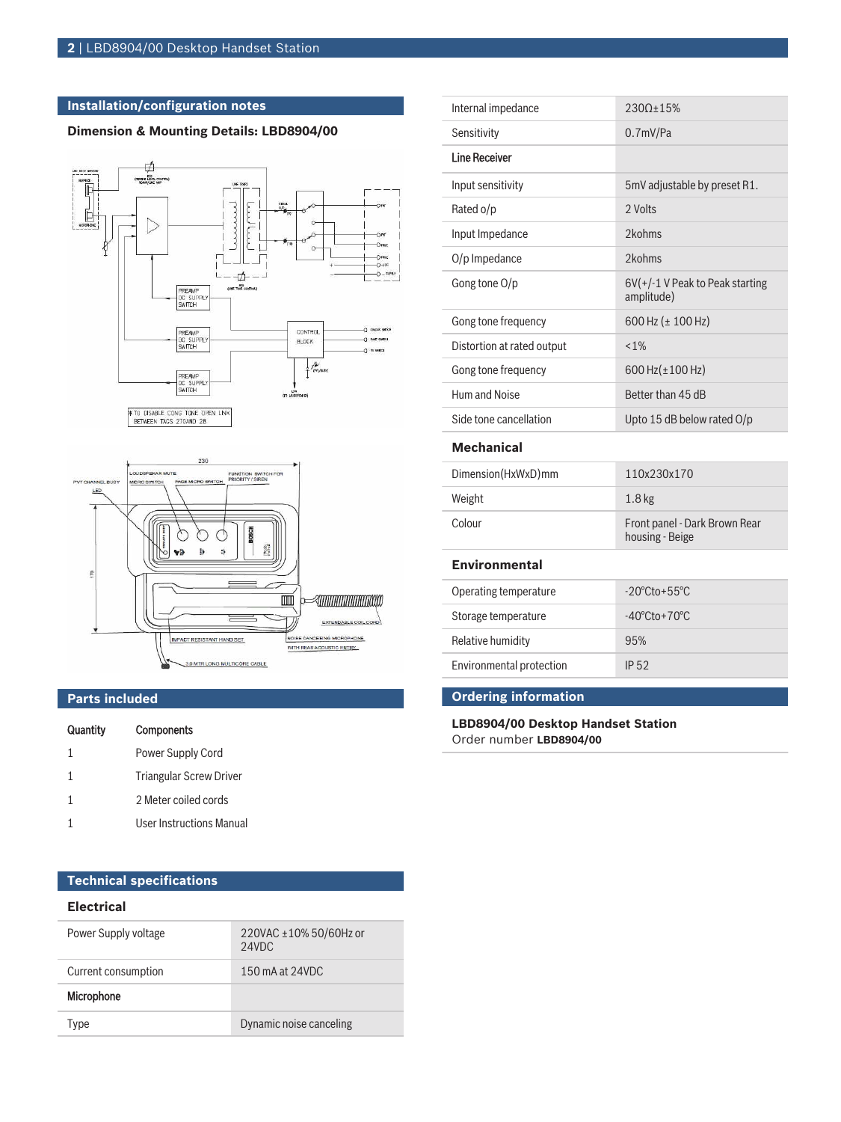# **Installation/configuration notes**

# **Dimension & Mounting Details: LBD8904/00**





## **Parts included**

| Quantity     | <b>Components</b>               |
|--------------|---------------------------------|
| $\mathbf{1}$ | Power Supply Cord               |
| 1            | <b>Triangular Screw Driver</b>  |
| 1            | 2 Meter coiled cords            |
|              | <b>User Instructions Manual</b> |

| Sensitivity                | 0.7 <sub>mV</sub> /Pa                            |  |
|----------------------------|--------------------------------------------------|--|
| <b>Line Receiver</b>       |                                                  |  |
| Input sensitivity          | 5mV adjustable by preset R1.                     |  |
| Rated o/p                  | 2 Volts                                          |  |
| Input Impedance            | 2kohms                                           |  |
| $O/p$ Impedance            | 2kohms                                           |  |
| Gong tone O/p              | $6V(+/-1)$ V Peak to Peak starting<br>amplitude) |  |
| Gong tone frequency        | 600 Hz ( $\pm$ 100 Hz)                           |  |
| Distortion at rated output | $< 1\%$                                          |  |
| Gong tone frequency        | 600 Hz $(\pm 100$ Hz)                            |  |
| Hum and Noise              | Better than 45 dB                                |  |
| Side tone cancellation     | Upto 15 dB below rated $O/p$                     |  |
| <b>Mechanical</b>          |                                                  |  |
| Dimension(HxWxD)mm         | 110x230x170                                      |  |
| Weight                     | 1.8 <sub>kg</sub>                                |  |
| Colour                     | Front panel - Dark Brown Rear<br>housing - Beige |  |
| <b>Environmental</b>       |                                                  |  |
| Operating temperature      | $-20^{\circ}$ Cto $+55^{\circ}$ C                |  |

Internal impedance 230Ω±15%

| Operating temperature    | $-20^{\circ}$ Cto + 55 $^{\circ}$ C |
|--------------------------|-------------------------------------|
| Storage temperature      | $-40^{\circ}$ Cto + $70^{\circ}$ C  |
| Relative humidity        | 95%                                 |
| Environmental protection | IP 52                               |

# **Ordering information**

**LBD8904/00 Desktop Handset Station** Order number **LBD8904/00**

# **Technical specifications**

#### **Electrical**

| Power Supply voltage | 220VAC ±10% 50/60Hz or<br>24VDC |
|----------------------|---------------------------------|
| Current consumption  | 150 mA at 24VDC                 |
| Microphone           |                                 |
| ype                  | Dynamic noise canceling         |